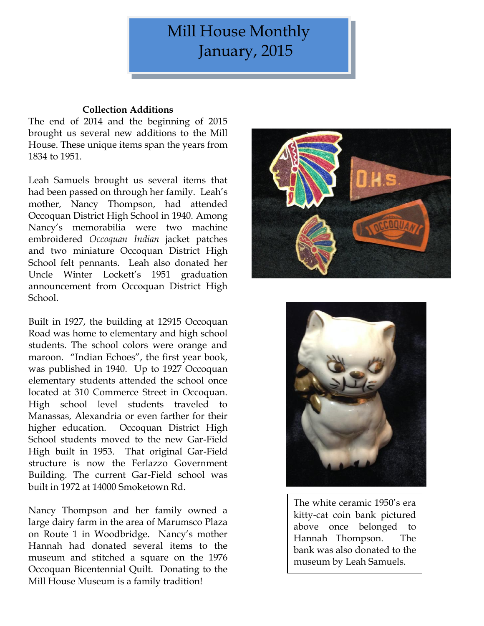# Mill House Monthly January, 2015

# **Collection Additions**

The end of 2014 and the beginning of 2015 brought us several new additions to the Mill House. These unique items span the years from 1834 to 1951.

Leah Samuels brought us several items that had been passed on through her family. Leah's mother, Nancy Thompson, had attended Occoquan District High School in 1940. Among Nancy's memorabilia were two machine embroidered *Occoquan Indian* jacket patches and two miniature Occoquan District High School felt pennants. Leah also donated her Uncle Winter Lockett's 1951 graduation announcement from Occoquan District High School.

Built in 1927, the building at 12915 Occoquan Road was home to elementary and high school students. The school colors were orange and maroon. "Indian Echoes", the first year book, was published in 1940. Up to 1927 Occoquan elementary students attended the school once located at 310 Commerce Street in Occoquan. High school level students traveled to Manassas, Alexandria or even farther for their higher education. Occoquan District High School students moved to the new Gar-Field High built in 1953. That original Gar-Field structure is now the Ferlazzo Government Building. The current Gar-Field school was built in 1972 at 14000 Smoketown Rd.

Nancy Thompson and her family owned a large dairy farm in the area of Marumsco Plaza on Route 1 in Woodbridge. Nancy's mother Hannah had donated several items to the museum and stitched a square on the 1976 Occoquan Bicentennial Quilt. Donating to the Mill House Museum is a family tradition!





The white ceramic 1950's era kitty-cat coin bank pictured above once belonged to Hannah Thompson. The bank was also donated to the museum by Leah Samuels.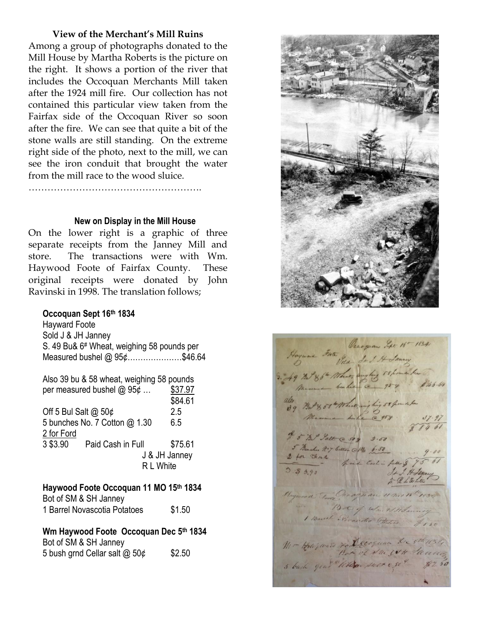## **View of the Merchant's Mill Ruins**

Among a group of photographs donated to the Mill House by Martha Roberts is the picture on the right. It shows a portion of the river that includes the Occoquan Merchants Mill taken after the 1924 mill fire. Our collection has not contained this particular view taken from the Fairfax side of the Occoquan River so soon after the fire. We can see that quite a bit of the stone walls are still standing. On the extreme right side of the photo, next to the mill, we can see the iron conduit that brought the water from the mill race to the wood sluice.

……………………………………………….

#### **New on Display in the Mill House**

On the lower right is a graphic of three separate receipts from the Janney Mill and store. The transactions were with Wm. Haywood Foote of Fairfax County. These original receipts were donated by John Ravinski in 1998. The translation follows;

## **Occoquan Sept 16th 1834**

Hayward Foote Sold J & JH Janney S. 49 Bu& 6# Wheat, weighing 58 pounds per Measured bushel @ 95¢…………………\$46.64

Also 39 bu & 58 wheat, weighing 58 pounds per measured bushel  $@95¢...$  \$37.97 \$84.61 Off 5 Bul Salt @ 50¢ 2.5 5 bunches No. 7 Cotton @ 1.30 6.5 2 for Ford 3 \$3.90 Paid Cash in Full \$75.61 J & JH Janney R L White

## **Haywood Foote Occoquan 11 MO 15th 1834** Bot of SM & SH Janney 1 Barrel Novascotia Potatoes \$1.50

**Wm Haywood Foote Occoquan Dec 5th 1834**

Bot of SM & SH Janney 5 bush grnd Cellar salt  $\omega$  50¢ \$2.50



Hayware Forte Vecoguan Sept 16-1834 49 72 86 - What, aughing 58 hours he 246.64 the Both 58 Monte within 58 from when # 5 Bal Salt @ 50 x 3.50 5 Marches No 9 breez @ 14 6.50  $3.8890$ Haywood To Chrogeran 11 mo 15 1 Boule Proceeded Blows 91 Monning Mr Hayward For decoquan De sthe 1132, 5 buch gent White such est \$2.50